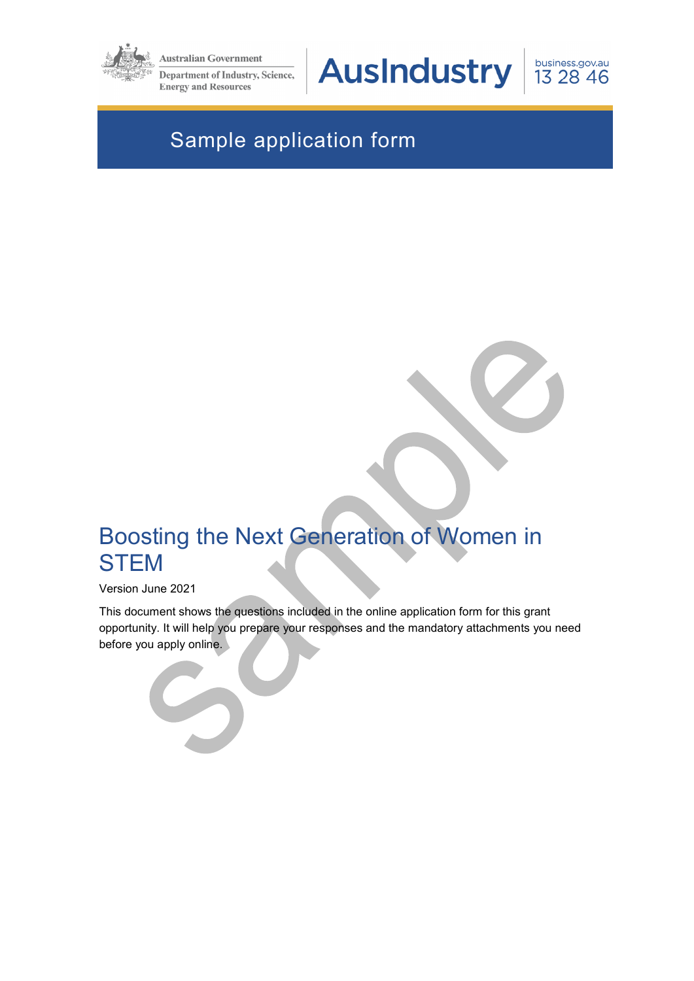

**Australian Government** 

**Department of Industry, Science, Energy and Resources** 

**AusIndustry** 

business.gov.au 13 28 46

# Sample application form

# Boosting the Next Generation of Women in **STEM**

#### Version June 2021

This document shows the questions included in the online application form for this grant opportunity. It will help you prepare your responses and the mandatory attachments you need before you apply online.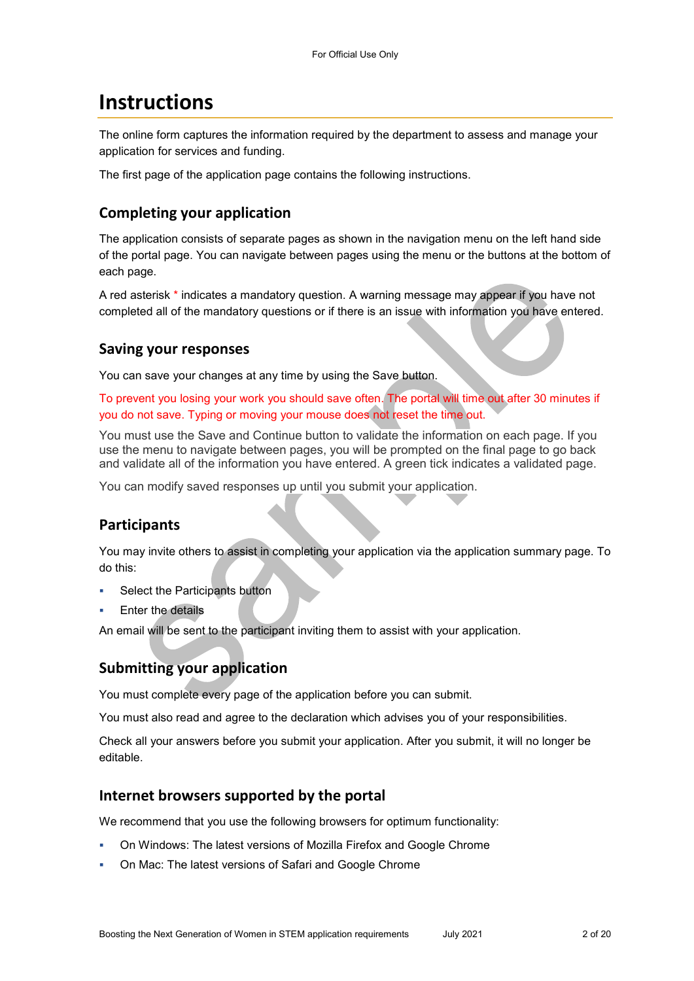## **Instructions**

The online form captures the information required by the department to assess and manage your application for services and funding.

The first page of the application page contains the following instructions.

### **Completing your application**

The application consists of separate pages as shown in the navigation menu on the left hand side of the portal page. You can navigate between pages using the menu or the buttons at the bottom of each page.

A red asterisk \* indicates a mandatory question. A warning message may appear if you have not completed all of the mandatory questions or if there is an issue with information you have entered.

#### **Saving your responses**

You can save your changes at any time by using the Save button.

To prevent you losing your work you should save often. The portal will time out after 30 minutes if you do not save. Typing or moving your mouse does not reset the time out.

You must use the Save and Continue button to validate the information on each page. If you use the menu to navigate between pages, you will be prompted on the final page to go back and validate all of the information you have entered. A green tick indicates a validated page.

You can modify saved responses up until you submit your application.

## **Participants**

You may invite others to assist in completing your application via the application summary page. To do this:

- Select the Participants button
- Enter the details

An email will be sent to the participant inviting them to assist with your application.

### **Submitting your application**

You must complete every page of the application before you can submit.

You must also read and agree to the declaration which advises you of your responsibilities.

Check all your answers before you submit your application. After you submit, it will no longer be editable.

#### **Internet browsers supported by the portal**

We recommend that you use the following browsers for optimum functionality:

- On Windows: The latest versions of Mozilla Firefox and Google Chrome
- On Mac: The latest versions of Safari and Google Chrome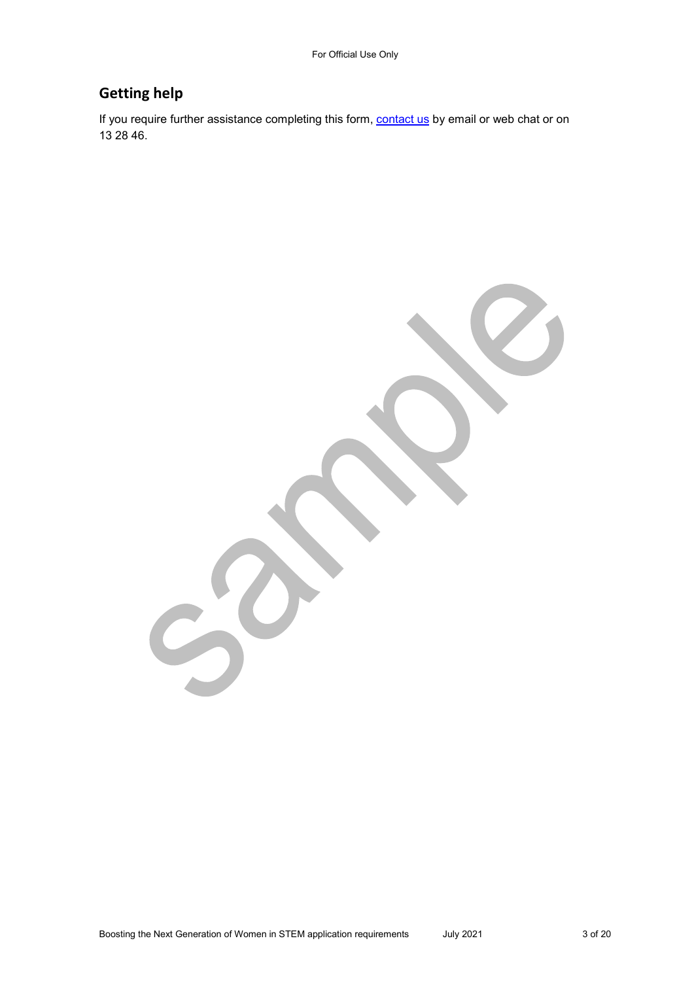### **Getting help**

If you require further assistance completing this form, **contact us** by email or web chat or on 13 28 46.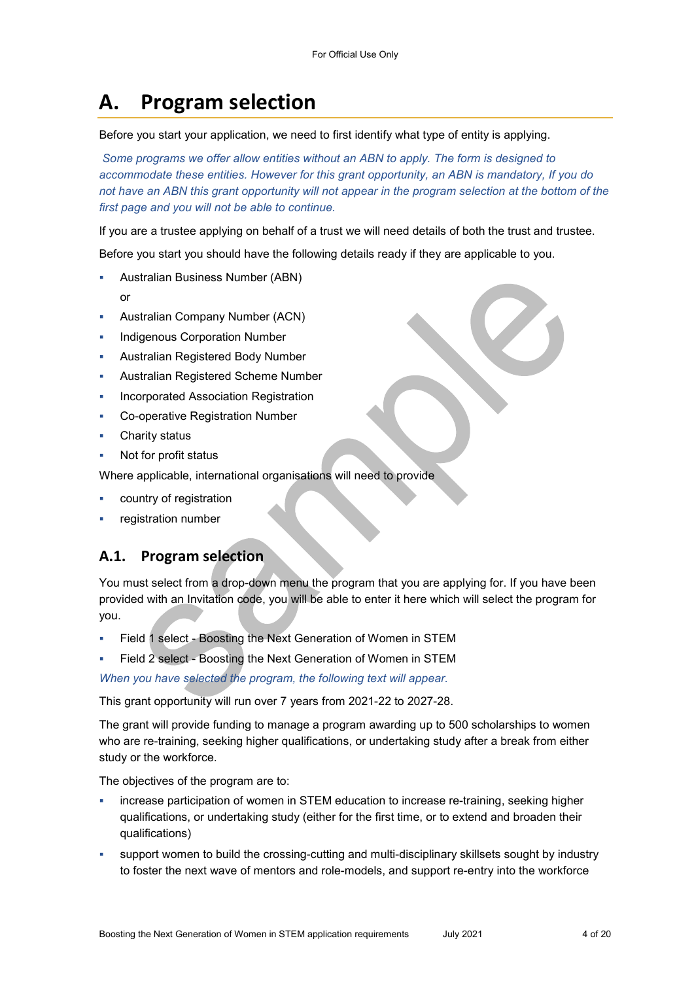# **A. Program selection**

Before you start your application, we need to first identify what type of entity is applying.

*Some programs we offer allow entities without an ABN to apply. The form is designed to accommodate these entities. However for this grant opportunity, an ABN is mandatory, If you do*  not have an ABN this grant opportunity will not appear in the program selection at the bottom of the *first page and you will not be able to continue.* 

If you are a trustee applying on behalf of a trust we will need details of both the trust and trustee.

Before you start you should have the following details ready if they are applicable to you.

- Australian Business Number (ABN)
	- or
- Australian Company Number (ACN)
- Indigenous Corporation Number
- Australian Registered Body Number
- Australian Registered Scheme Number
- Incorporated Association Registration
- Co-operative Registration Number
- Charity status
- Not for profit status

Where applicable, international organisations will need to provide

- country of registration
- registration number

### **A.1. Program selection**

You must select from a drop-down menu the program that you are applying for. If you have been provided with an Invitation code, you will be able to enter it here which will select the program for you.

- Field 1 select Boosting the Next Generation of Women in STEM
- Field 2 select Boosting the Next Generation of Women in STEM

*When you have selected the program, the following text will appear.* 

This grant opportunity will run over 7 years from 2021-22 to 2027-28.

The grant will provide funding to manage a program awarding up to 500 scholarships to women who are re-training, seeking higher qualifications, or undertaking study after a break from either study or the workforce.

The objectives of the program are to:

- increase participation of women in STEM education to increase re-training, seeking higher qualifications, or undertaking study (either for the first time, or to extend and broaden their qualifications)
- support women to build the crossing-cutting and multi-disciplinary skillsets sought by industry to foster the next wave of mentors and role-models, and support re-entry into the workforce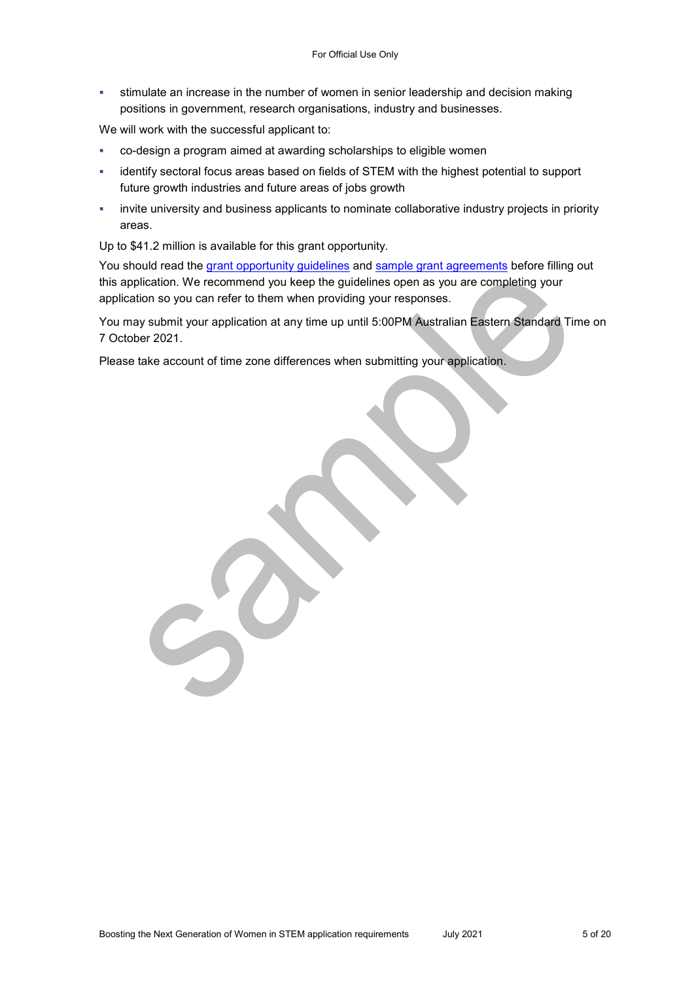stimulate an increase in the number of women in senior leadership and decision making positions in government, research organisations, industry and businesses.

We will work with the successful applicant to:

- co-design a program aimed at awarding scholarships to eligible women
- identify sectoral focus areas based on fields of STEM with the highest potential to support future growth industries and future areas of jobs growth
- invite university and business applicants to nominate collaborative industry projects in priority areas.

Up to \$41.2 million is available for this grant opportunity.

You should read the grant opportunity guidelines and sample grant agreements before filling out this application. We recommend you keep the guidelines open as you are completing your application so you can refer to them when providing your responses.

You may submit your application at any time up until 5:00PM Australian Eastern Standard Time on 7 October 2021.

Please take account of time zone differences when submitting your application.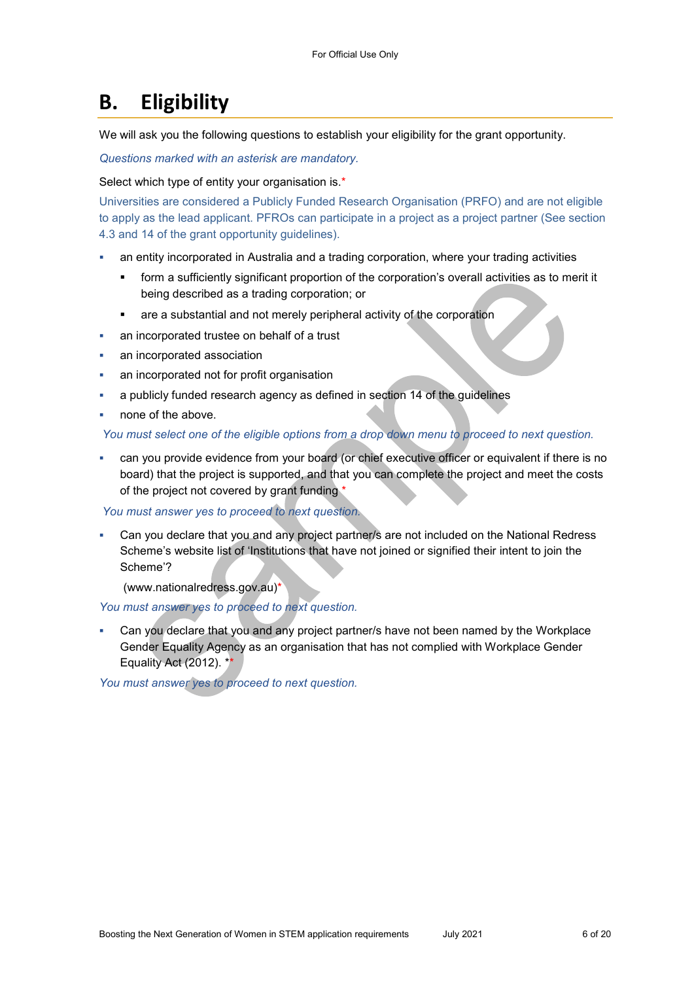## **B. Eligibility**

We will ask you the following questions to establish your eligibility for the grant opportunity.

*Questions marked with an asterisk are mandatory.* 

Select which type of entity your organisation is.\*

Universities are considered a Publicly Funded Research Organisation (PRFO) and are not eligible to apply as the lead applicant. PFROs can participate in a project as a project partner (See section 4.3 and 14 of the grant opportunity guidelines).

- an entity incorporated in Australia and a trading corporation, where your trading activities
	- form a sufficiently significant proportion of the corporation's overall activities as to merit it being described as a trading corporation; or
	- are a substantial and not merely peripheral activity of the corporation
- an incorporated trustee on behalf of a trust
- an incorporated association
- an incorporated not for profit organisation
- a publicly funded research agency as defined in section 14 of the guidelines
- none of the above.

#### *You must select one of the eligible options from a drop down menu to proceed to next question.*

 can you provide evidence from your board (or chief executive officer or equivalent if there is no board) that the project is supported, and that you can complete the project and meet the costs of the project not covered by grant funding \*

#### *You must answer yes to proceed to next question.*

 Can you declare that you and any project partner/s are not included on the National Redress Scheme's website list of 'Institutions that have not joined or signified their intent to join the Scheme'?

(www.nationalredress.gov.au)\*

#### *You must answer yes to proceed to next question.*

 Can you declare that you and any project partner/s have not been named by the Workplace Gender Equality Agency as an organisation that has not complied with Workplace Gender Equality Act (2012). \*\*

*You must answer yes to proceed to next question.*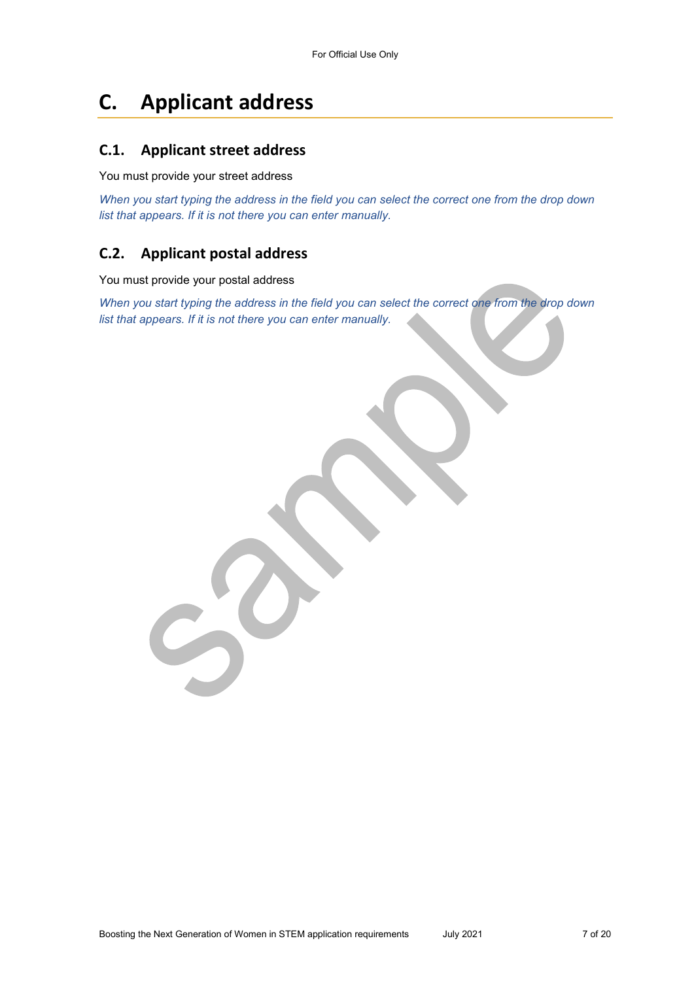# **C. Applicant address**

#### **C.1. Applicant street address**

#### You must provide your street address

*When you start typing the address in the field you can select the correct one from the drop down list that appears. If it is not there you can enter manually.* 

### **C.2. Applicant postal address**

You must provide your postal address

*When you start typing the address in the field you can select the correct one from the drop down list that appears. If it is not there you can enter manually.*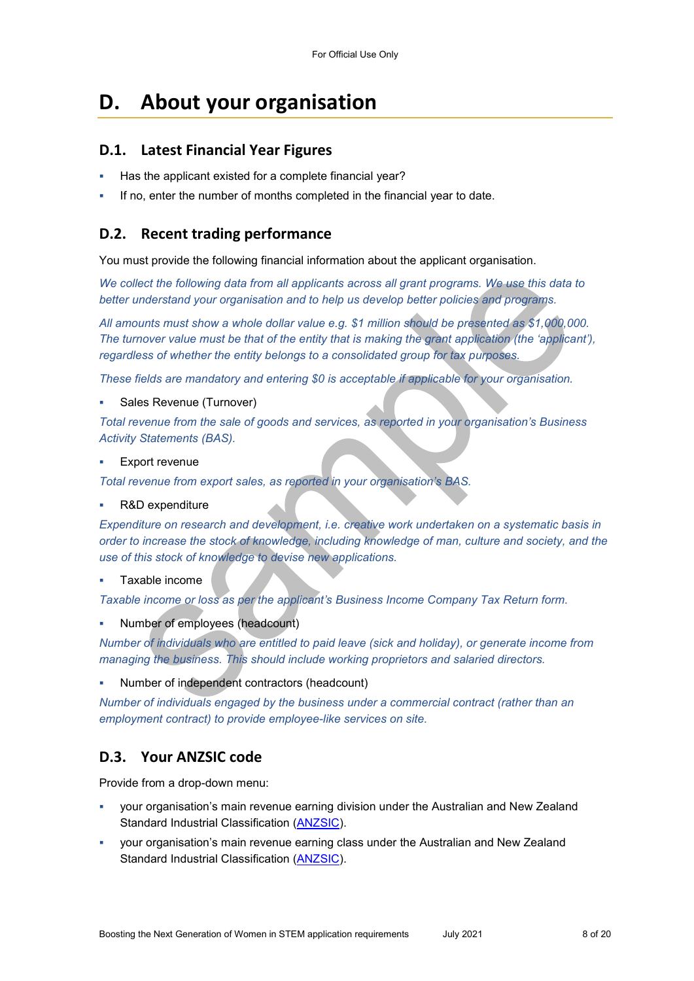## **D. About your organisation**

#### **D.1. Latest Financial Year Figures**

- Has the applicant existed for a complete financial year?
- If no, enter the number of months completed in the financial year to date.

#### **D.2. Recent trading performance**

You must provide the following financial information about the applicant organisation.

*We collect the following data from all applicants across all grant programs. We use this data to better understand your organisation and to help us develop better policies and programs.*

*All amounts must show a whole dollar value e.g. \$1 million should be presented as \$1,000,000. The turnover value must be that of the entity that is making the grant application (the 'applicant'), regardless of whether the entity belongs to a consolidated group for tax purposes.* 

*These fields are mandatory and entering \$0 is acceptable if applicable for your organisation.* 

Sales Revenue (Turnover)

*Total revenue from the sale of goods and services, as reported in your organisation's Business Activity Statements (BAS).* 

Export revenue

*Total revenue from export sales, as reported in your organisation's BAS.* 

R&D expenditure

*Expenditure on research and development, i.e. creative work undertaken on a systematic basis in order to increase the stock of knowledge, including knowledge of man, culture and society, and the use of this stock of knowledge to devise new applications.* 

Taxable income

*Taxable income or loss as per the applicant's Business Income Company Tax Return form.* 

Number of employees (headcount)

*Number of individuals who are entitled to paid leave (sick and holiday), or generate income from managing the business. This should include working proprietors and salaried directors.* 

Number of independent contractors (headcount)

*Number of individuals engaged by the business under a commercial contract (rather than an employment contract) to provide employee-like services on site.* 

### **D.3. Your ANZSIC code**

Provide from a drop-down menu:

- your organisation's main revenue earning division under the Australian and New Zealand Standard Industrial Classification [\(ANZSIC\)](https://www.abs.gov.au/ausstats/abs@.nsf/0/20C5B5A4F46DF95BCA25711F00146D75?opendocument).
- your organisation's main revenue earning class under the Australian and New Zealand Standard Industrial Classification [\(ANZSIC\)](https://www.abs.gov.au/ausstats/abs@.nsf/0/20C5B5A4F46DF95BCA25711F00146D75?opendocument).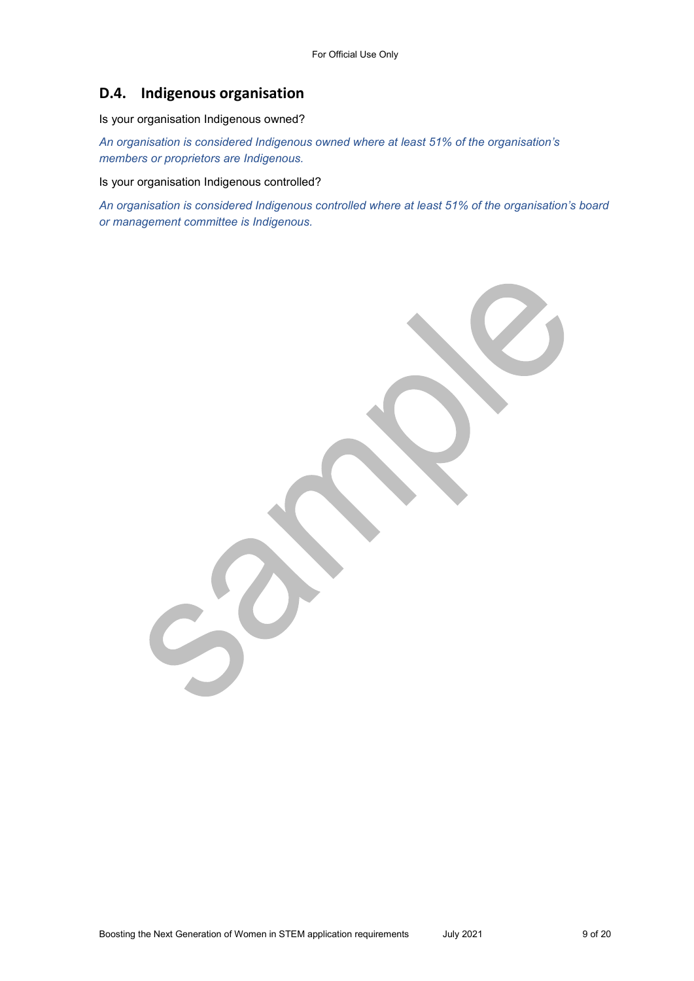### **D.4. Indigenous organisation**

Is your organisation Indigenous owned?

*An organisation is considered Indigenous owned where at least 51% of the organisation's members or proprietors are Indigenous.* 

Is your organisation Indigenous controlled?

*An organisation is considered Indigenous controlled where at least 51% of the organisation's board or management committee is Indigenous.*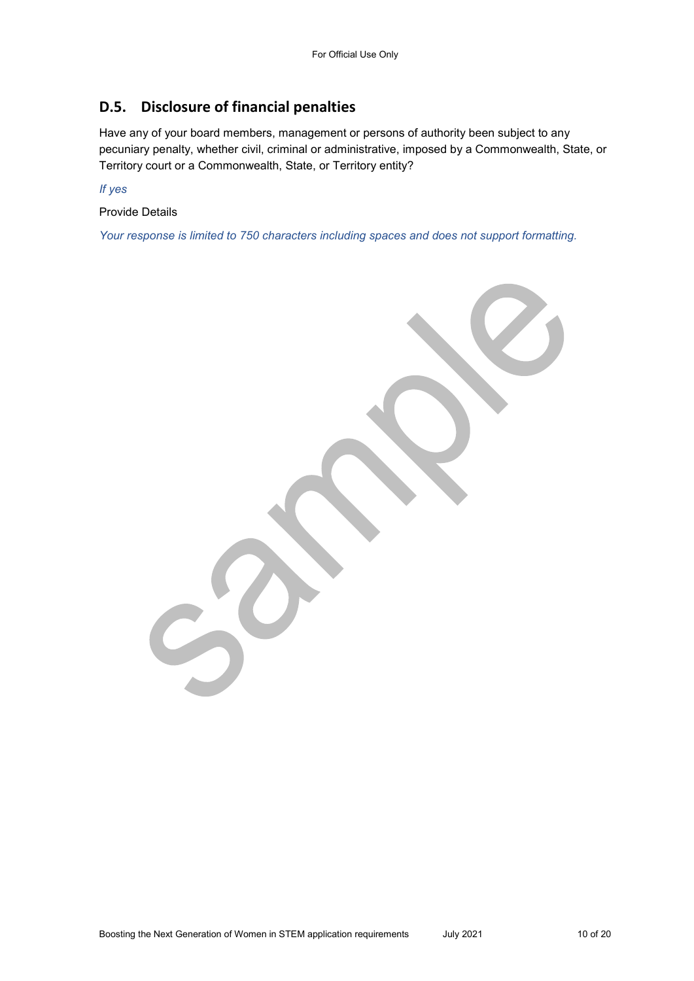### **D.5. Disclosure of financial penalties**

Have any of your board members, management or persons of authority been subject to any pecuniary penalty, whether civil, criminal or administrative, imposed by a Commonwealth, State, or Territory court or a Commonwealth, State, or Territory entity?

*If yes* 

Provide Details

*Your response is limited to 750 characters including spaces and does not support formatting.* 

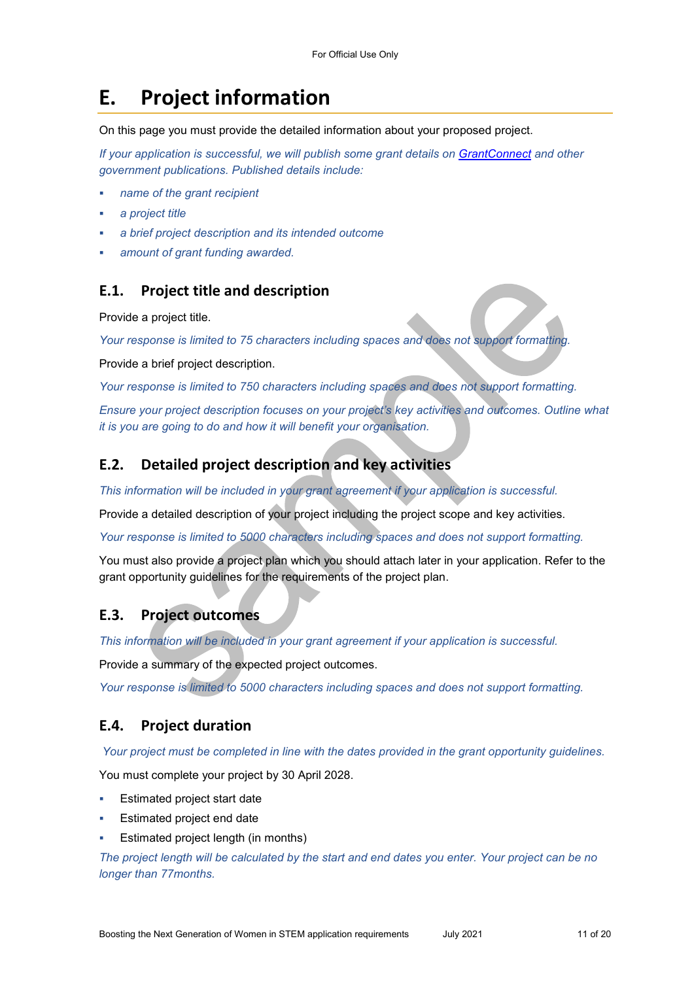## **E. Project information**

On this page you must provide the detailed information about your proposed project.

*If your application is successful, we will publish some grant details on GrantConnect and other government publications. Published details include:* 

- *name of the grant recipient*
- *a project title*
- *a brief project description and its intended outcome*
- *amount of grant funding awarded.*

#### **E.1. Project title and description**

Provide a project title.

*Your response is limited to 75 characters including spaces and does not support formatting.* 

Provide a brief project description.

*Your response is limited to 750 characters including spaces and does not support formatting.* 

*Ensure your project description focuses on your project's key activities and outcomes. Outline what it is you are going to do and how it will benefit your organisation.* 

#### **E.2. Detailed project description and key activities**

*This information will be included in your grant agreement if your application is successful.* 

Provide a detailed description of your project including the project scope and key activities.

*Your response is limited to 5000 characters including spaces and does not support formatting.* 

You must also provide a project plan which you should attach later in your application. Refer to the grant opportunity guidelines for the requirements of the project plan.

#### **E.3. Project outcomes**

*This information will be included in your grant agreement if your application is successful.* 

Provide a summary of the expected project outcomes.

*Your response is limited to 5000 characters including spaces and does not support formatting.* 

### **E.4. Project duration**

 *Your project must be completed in line with the dates provided in the grant opportunity guidelines.* 

You must complete your project by 30 April 2028.

- Estimated project start date
- Estimated project end date
- Estimated project length (in months)

*The project length will be calculated by the start and end dates you enter. Your project can be no longer than 77months.*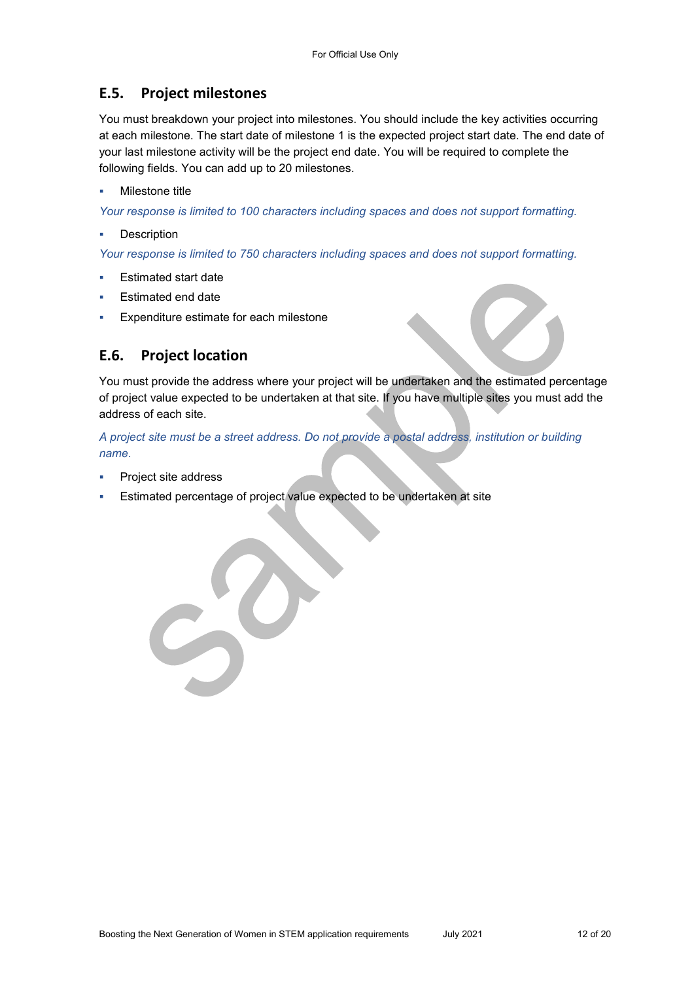### **E.5. Project milestones**

You must breakdown your project into milestones. You should include the key activities occurring at each milestone. The start date of milestone 1 is the expected project start date. The end date of your last milestone activity will be the project end date. You will be required to complete the following fields. You can add up to 20 milestones.

#### Milestone title

*Your response is limited to 100 characters including spaces and does not support formatting.* 

Description

*Your response is limited to 750 characters including spaces and does not support formatting.* 

- Estimated start date
- Estimated end date
- Expenditure estimate for each milestone

## **E.6. Project location**

You must provide the address where your project will be undertaken and the estimated percentage of project value expected to be undertaken at that site. If you have multiple sites you must add the address of each site.

*A project site must be a street address. Do not provide a postal address, institution or building name.* 

- Project site address
- Estimated percentage of project value expected to be undertaken at site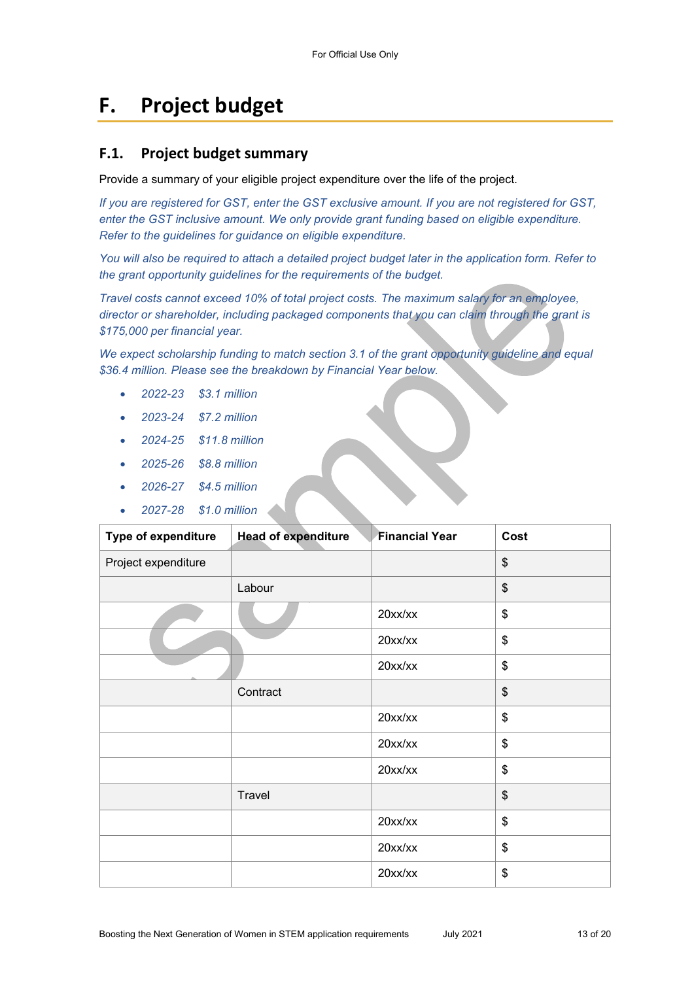## **F. Project budget**

#### **F.1. Project budget summary**

Provide a summary of your eligible project expenditure over the life of the project.

*If you are registered for GST, enter the GST exclusive amount. If you are not registered for GST, enter the GST inclusive amount. We only provide grant funding based on eligible expenditure. Refer to the guidelines for guidance on eligible expenditure.* 

*You will also be required to attach a detailed project budget later in the application form. Refer to the grant opportunity guidelines for the requirements of the budget.* 

*Travel costs cannot exceed 10% of total project costs. The maximum salary for an employee, director or shareholder, including packaged components that you can claim through the grant is \$175,000 per financial year.* 

*We expect scholarship funding to match section 3.1 of the grant opportunity guideline and equal \$36.4 million. Please see the breakdown by Financial Year below.* 

- *2022-23 \$3.1 million*
- *2023-24 \$7.2 million*
- *2024-25 \$11.8 million*
- *2025-26 \$8.8 million*
- *2026-27 \$4.5 million*
- *2027-28 \$1.0 million*

| <b>Type of expenditure</b> | <b>Head of expenditure</b> | <b>Financial Year</b> | Cost |
|----------------------------|----------------------------|-----------------------|------|
| Project expenditure        |                            |                       | \$   |
|                            | Labour                     |                       | \$   |
|                            |                            | 20xx/xx               | \$   |
|                            |                            | 20xx/xx               | \$   |
|                            |                            | 20xx/xx               | \$   |
|                            | Contract                   |                       | \$   |
|                            |                            | 20xx/xx               | \$   |
|                            |                            | $20$ xx/xx            | \$   |
|                            |                            | $20$ xx/xx            | \$   |
|                            | Travel                     |                       | \$   |
|                            |                            | 20xx/xx               | \$   |
|                            |                            | 20xx/xx               | \$   |
|                            |                            | 20xx/xx               | \$   |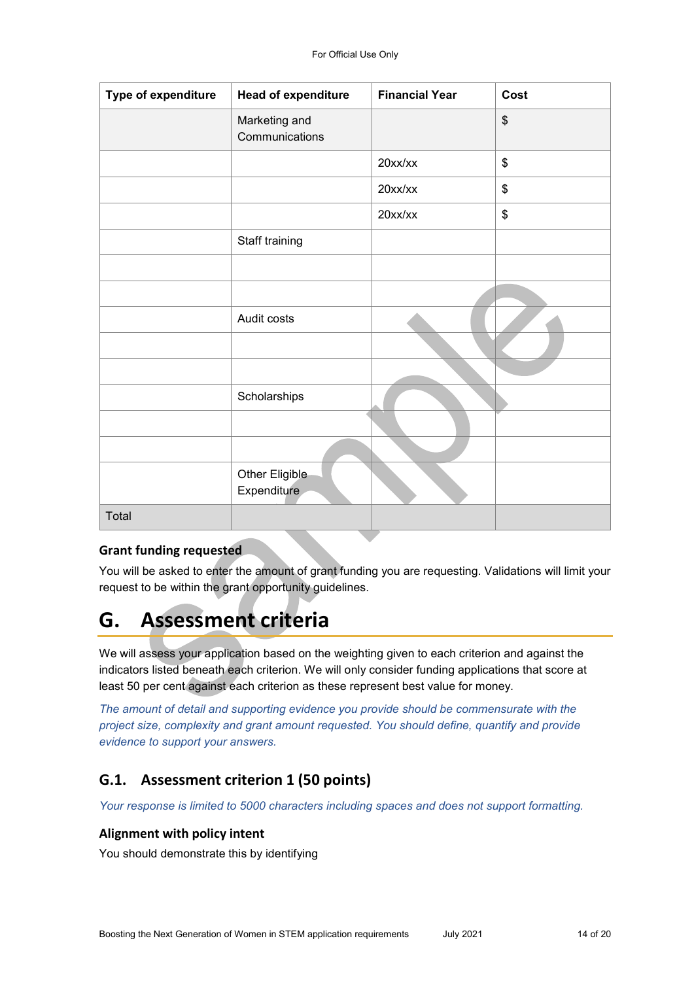| Type of expenditure | <b>Head of expenditure</b>      | <b>Financial Year</b> | Cost |
|---------------------|---------------------------------|-----------------------|------|
|                     | Marketing and<br>Communications |                       | \$   |
|                     |                                 | $20$ xx/xx            | \$   |
|                     |                                 | $20$ xx/xx            | \$   |
|                     |                                 | 20xx/xx               | \$   |
|                     | Staff training                  |                       |      |
|                     |                                 |                       |      |
|                     |                                 |                       |      |
|                     | Audit costs                     |                       |      |
|                     |                                 |                       |      |
|                     |                                 |                       |      |
|                     | Scholarships                    |                       |      |
|                     |                                 |                       |      |
|                     |                                 |                       |      |
|                     | Other Eligible<br>Expenditure   |                       |      |
| Total               |                                 |                       |      |
|                     |                                 |                       |      |

#### **Grant funding requested**

You will be asked to enter the amount of grant funding you are requesting. Validations will limit your request to be within the grant opportunity guidelines.

## **G. Assessment criteria**

We will assess your application based on the weighting given to each criterion and against the indicators listed beneath each criterion. We will only consider funding applications that score at least 50 per cent against each criterion as these represent best value for money.

*The amount of detail and supporting evidence you provide should be commensurate with the project size, complexity and grant amount requested. You should define, quantify and provide evidence to support your answers.* 

### **G.1. Assessment criterion 1 (50 points)**

*Your response is limited to 5000 characters including spaces and does not support formatting.* 

#### **Alignment with policy intent**

You should demonstrate this by identifying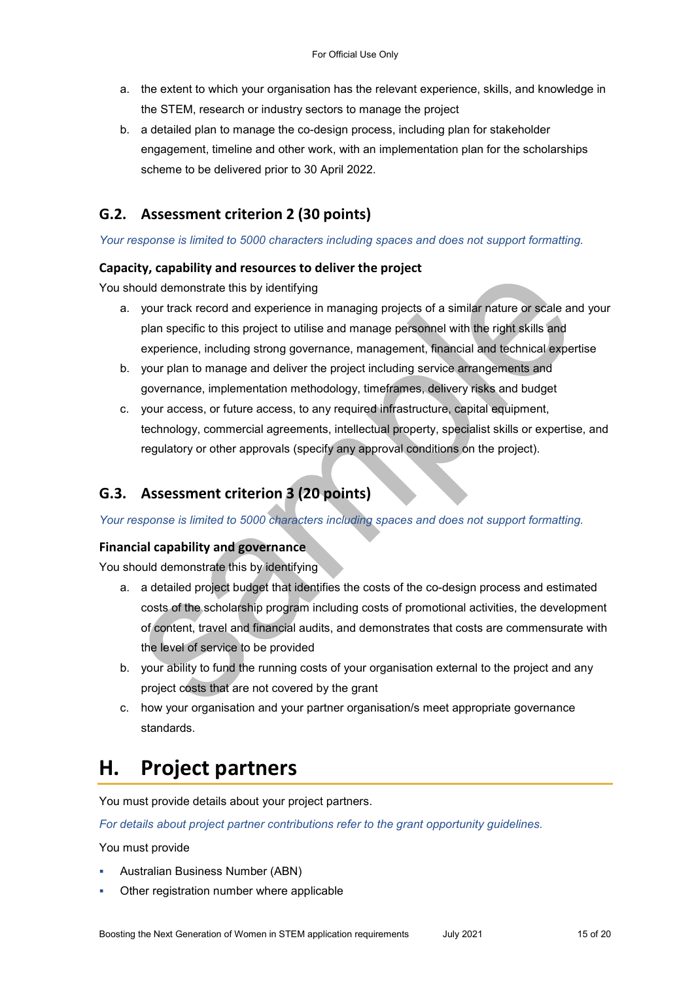- a. the extent to which your organisation has the relevant experience, skills, and knowledge in the STEM, research or industry sectors to manage the project
- b. a detailed plan to manage the co-design process, including plan for stakeholder engagement, timeline and other work, with an implementation plan for the scholarships scheme to be delivered prior to 30 April 2022.

## **G.2. Assessment criterion 2 (30 points)**

#### *Your response is limited to 5000 characters including spaces and does not support formatting.*

#### **Capacity, capability and resources to deliver the project**

You should demonstrate this by identifying

- a. your track record and experience in managing projects of a similar nature or scale and your plan specific to this project to utilise and manage personnel with the right skills and experience, including strong governance, management, financial and technical expertise
- b. your plan to manage and deliver the project including service arrangements and governance, implementation methodology, timeframes, delivery risks and budget
- c. your access, or future access, to any required infrastructure, capital equipment, technology, commercial agreements, intellectual property, specialist skills or expertise, and regulatory or other approvals (specify any approval conditions on the project).

## **G.3. Assessment criterion 3 (20 points)**

*Your response is limited to 5000 characters including spaces and does not support formatting.* 

#### **Financial capability and governance**

You should demonstrate this by identifying

- a. a detailed project budget that identifies the costs of the co-design process and estimated costs of the scholarship program including costs of promotional activities, the development of content, travel and financial audits, and demonstrates that costs are commensurate with the level of service to be provided
- b. your ability to fund the running costs of your organisation external to the project and any project costs that are not covered by the grant
- c. how your organisation and your partner organisation/s meet appropriate governance standards.

## **H. Project partners**

You must provide details about your project partners.

*For details about project partner contributions refer to the grant opportunity guidelines.* 

You must provide

- Australian Business Number (ABN)
- Other registration number where applicable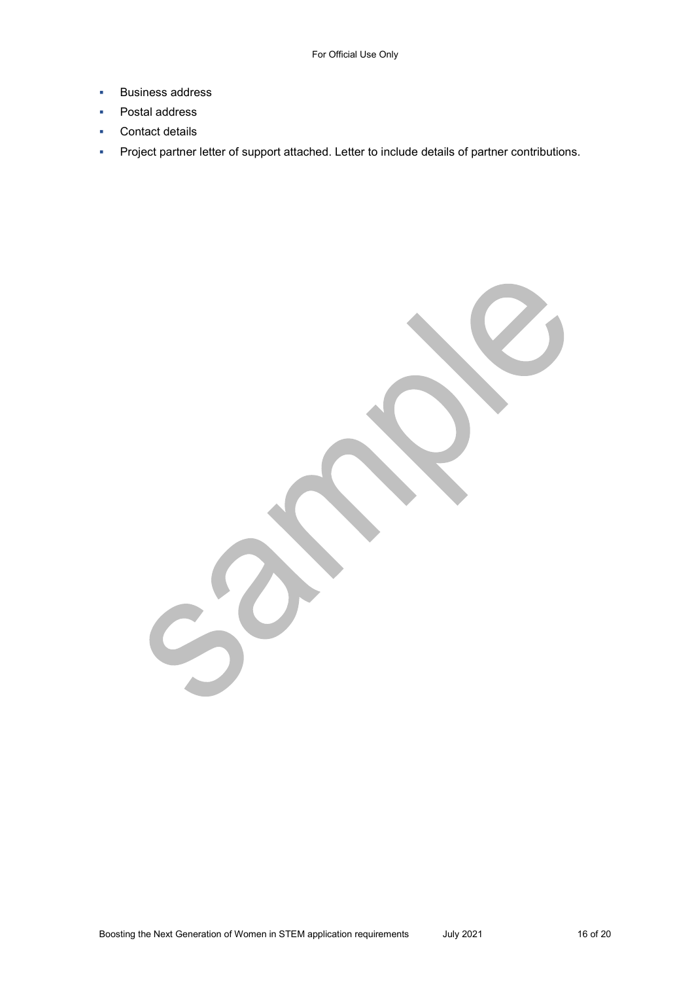- **Business address**
- **•** Postal address
- **Contact details**
- **Project partner letter of support attached. Letter to include details of partner contributions.**

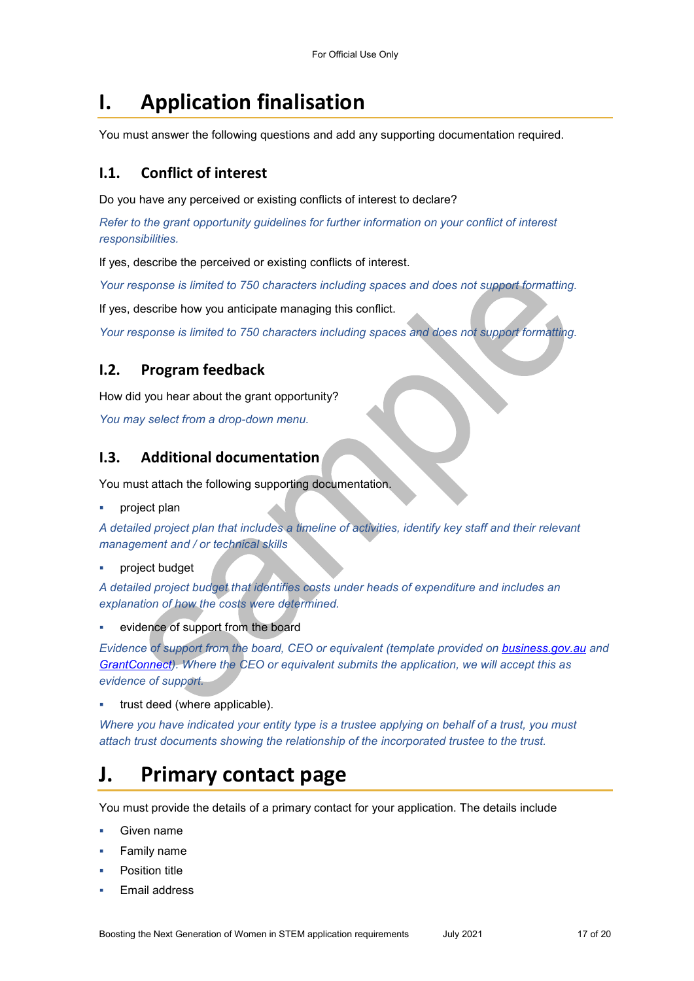## **I. Application finalisation**

You must answer the following questions and add any supporting documentation required.

#### **I.1. Conflict of interest**

Do you have any perceived or existing conflicts of interest to declare?

*Refer to the grant opportunity guidelines for further information on your conflict of interest responsibilities.* 

If yes, describe the perceived or existing conflicts of interest.

*Your response is limited to 750 characters including spaces and does not support formatting.* 

If yes, describe how you anticipate managing this conflict.

*Your response is limited to 750 characters including spaces and does not support formatting.* 

### **I.2. Program feedback**

How did you hear about the grant opportunity?

*You may select from a drop-down menu.* 

#### **I.3. Additional documentation**

You must attach the following supporting documentation.

project plan

*A detailed project plan that includes a timeline of activities, identify key staff and their relevant management and / or technical skills* 

#### project budget

*A detailed project budget that identifies costs under heads of expenditure and includes an explanation of how the costs were determined.* 

evidence of support from the board

*Evidence of support from the board, CEO or equivalent (template provided on business.gov.au and [GrantConnect\)](http://www.grants.gov.au/). Where the CEO or equivalent submits the application, we will accept this as evidence of support.* 

trust deed (where applicable).

*Where you have indicated your entity type is a trustee applying on behalf of a trust, you must attach trust documents showing the relationship of the incorporated trustee to the trust.* 

## **J. Primary contact page**

You must provide the details of a primary contact for your application. The details include

- Given name
- Family name
- Position title
- Email address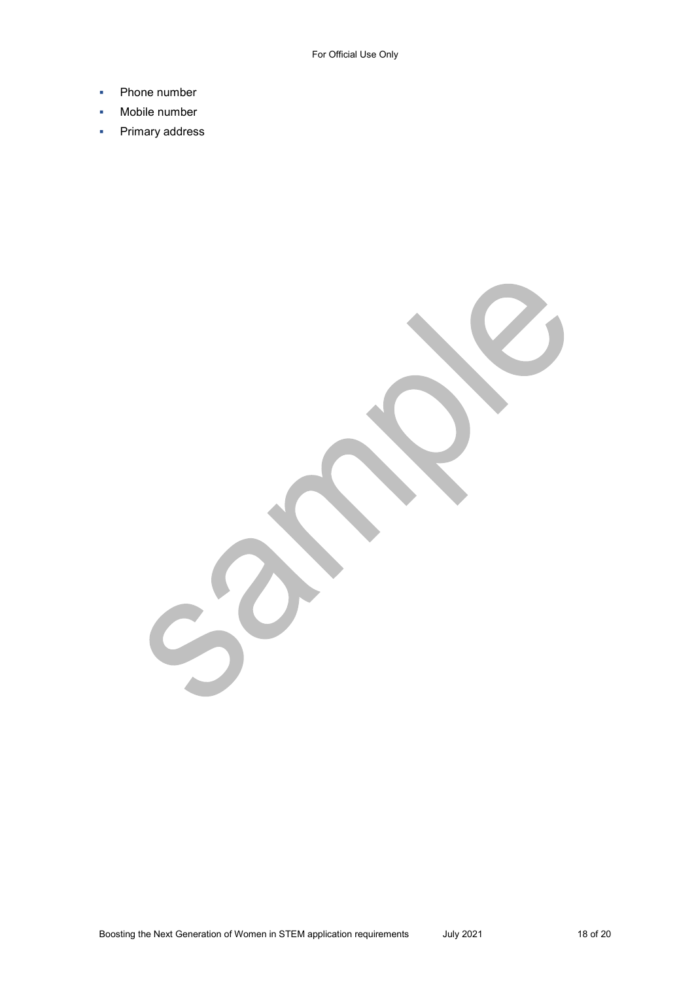- Phone number
- **Mobile number**
- Primary address

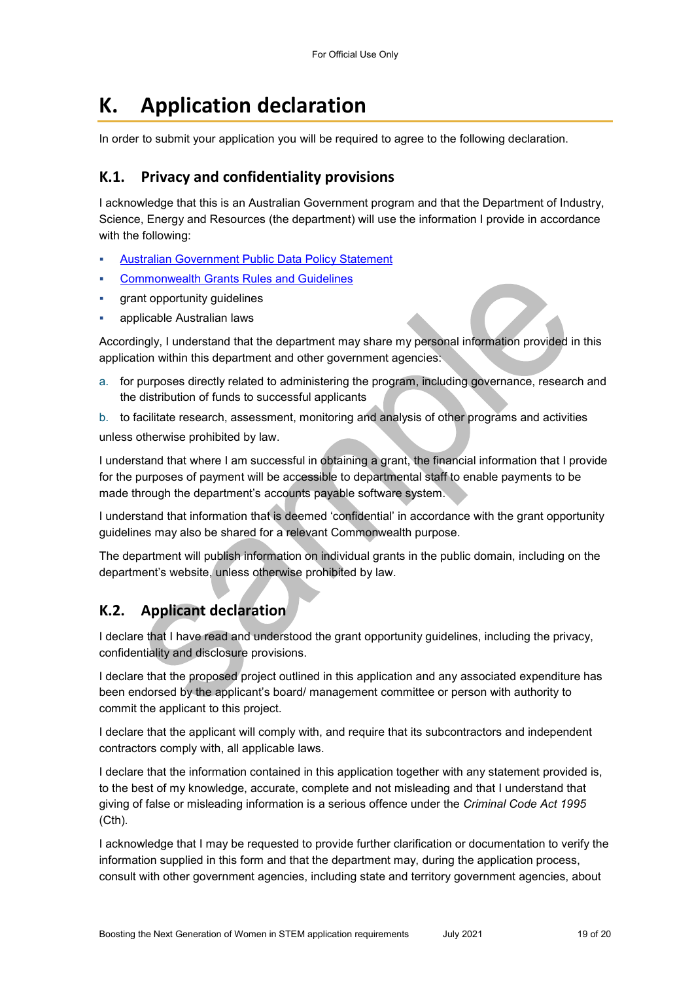# **K. Application declaration**

In order to submit your application you will be required to agree to the following declaration.

#### **K.1. Privacy and confidentiality provisions**

I acknowledge that this is an Australian Government program and that the Department of Industry, Science, Energy and Resources (the department) will use the information I provide in accordance with the following:

- [Australian Government Public Data Policy Statement](https://www.pmc.gov.au/sites/default/files/publications/aust_govt_public_data_policy_statement_1.pdf)
- [Commonwealth Grants Rules and Guidelines](https://www.finance.gov.au/government/commonwealth-grants/commonwealth-grants-rules-guidelines)
- grant opportunity guidelines
- applicable Australian laws

Accordingly, I understand that the department may share my personal information provided in this application within this department and other government agencies:

a. for purposes directly related to administering the program, including governance, research and the distribution of funds to successful applicants

b. to facilitate research, assessment, monitoring and analysis of other programs and activities unless otherwise prohibited by law.

I understand that where I am successful in obtaining a grant, the financial information that I provide for the purposes of payment will be accessible to departmental staff to enable payments to be made through the department's accounts payable software system.

I understand that information that is deemed 'confidential' in accordance with the grant opportunity guidelines may also be shared for a relevant Commonwealth purpose.

The department will publish information on individual grants in the public domain, including on the department's website, unless otherwise prohibited by law.

## **K.2. Applicant declaration**

I declare that I have read and understood the grant opportunity guidelines, including the privacy, confidentiality and disclosure provisions.

I declare that the proposed project outlined in this application and any associated expenditure has been endorsed by the applicant's board/ management committee or person with authority to commit the applicant to this project.

I declare that the applicant will comply with, and require that its subcontractors and independent contractors comply with, all applicable laws.

I declare that the information contained in this application together with any statement provided is, to the best of my knowledge, accurate, complete and not misleading and that I understand that giving of false or misleading information is a serious offence under the *Criminal Code Act 1995*  (Cth)*.* 

I acknowledge that I may be requested to provide further clarification or documentation to verify the information supplied in this form and that the department may, during the application process, consult with other government agencies, including state and territory government agencies, about